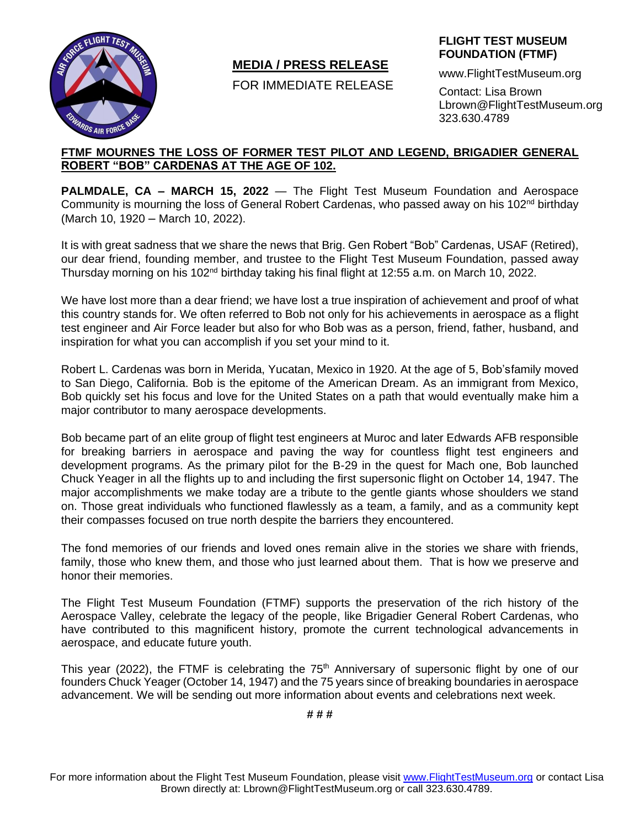

# **MEDIA / PRESS RELEASE**

FOR IMMEDIATE RELEASE

### **FLIGHT TEST MUSEUM FOUNDATION (FTMF)**

www.FlightTestMuseum.org

Contact: Lisa Brown Lbrown@FlightTestMuseum.org 323.630.4789

## **FTMF MOURNES THE LOSS OF FORMER TEST PILOT AND LEGEND, BRIGADIER GENERAL ROBERT "BOB" CARDENAS AT THE AGE OF 102.**

**PALMDALE, CA – MARCH 15, 2022** — The Flight Test Museum Foundation and Aerospace Community is mourning the loss of General Robert Cardenas, who passed away on his 102<sup>nd</sup> birthday (March 10, 1920 – March 10, 2022).

It is with great sadness that we share the news that Brig. Gen Robert "Bob" Cardenas, USAF (Retired), our dear friend, founding member, and trustee to the Flight Test Museum Foundation, passed away Thursday morning on his 102<sup>nd</sup> birthday taking his final flight at 12:55 a.m. on March 10, 2022.

We have lost more than a dear friend; we have lost a true inspiration of achievement and proof of what this country stands for. We often referred to Bob not only for his achievements in aerospace as a flight test engineer and Air Force leader but also for who Bob was as a person, friend, father, husband, and inspiration for what you can accomplish if you set your mind to it.

Robert L. Cardenas was born in Merida, Yucatan, Mexico in 1920. At the age of 5, Bob'sfamily moved to San Diego, California. Bob is the epitome of the American Dream. As an immigrant from Mexico, Bob quickly set his focus and love for the United States on a path that would eventually make him a major contributor to many aerospace developments.

Bob became part of an elite group of flight test engineers at Muroc and later Edwards AFB responsible for breaking barriers in aerospace and paving the way for countless flight test engineers and development programs. As the primary pilot for the B-29 in the quest for Mach one, Bob launched Chuck Yeager in all the flights up to and including the first supersonic flight on October 14, 1947. The major accomplishments we make today are a tribute to the gentle giants whose shoulders we stand on. Those great individuals who functioned flawlessly as a team, a family, and as a community kept their compasses focused on true north despite the barriers they encountered.

The fond memories of our friends and loved ones remain alive in the stories we share with friends, family, those who knew them, and those who just learned about them. That is how we preserve and honor their memories.

The Flight Test Museum Foundation (FTMF) supports the preservation of the rich history of the Aerospace Valley, celebrate the legacy of the people, like Brigadier General Robert Cardenas, who have contributed to this magnificent history, promote the current technological advancements in aerospace, and educate future youth.

This year (2022), the FTMF is celebrating the  $75<sup>th</sup>$  Anniversary of supersonic flight by one of our founders Chuck Yeager (October 14, 1947) and the 75 years since of breaking boundaries in aerospace advancement. We will be sending out more information about events and celebrations next week.

**# # #**

For more information about the Flight Test Museum Foundation, please visit [www.FlightTestMuseum.org](http://www.flighttestmuseum.org/) or contact Lisa Brown directly at: Lbrown@FlightTestMuseum.org or call 323.630.4789.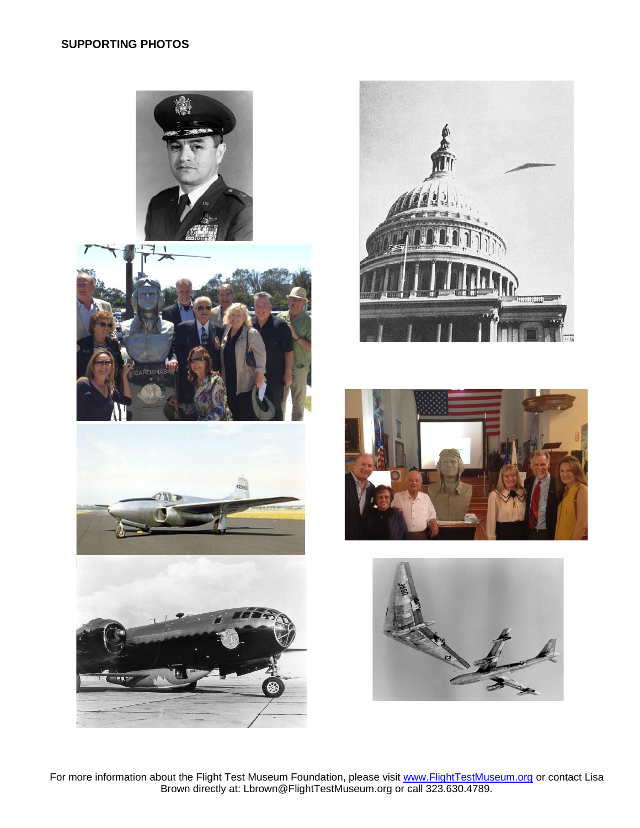













For more information about the Flight Test Museum Foundation, please visit [www.FlightTestMuseum.org](http://www.flighttestmuseum.org/) or contact Lisa Brown directly at: Lbrown@FlightTestMuseum.org or call 323.630.4789.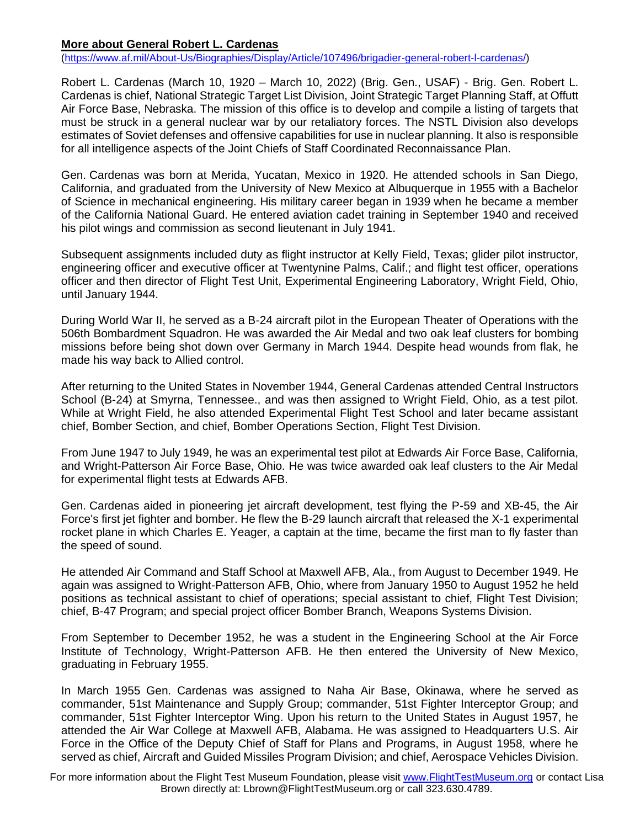### **More about General Robert L. Cardenas**

[\(https://www.af.mil/About-Us/Biographies/Display/Article/107496/brigadier-general-robert-l-cardenas/\)](https://www.af.mil/About-Us/Biographies/Display/Article/107496/brigadier-general-robert-l-cardenas/)

Robert L. Cardenas (March 10, 1920 – March 10, 2022) (Brig. Gen., USAF) - Brig. Gen. Robert L. Cardenas is chief, National Strategic Target List Division, Joint Strategic Target Planning Staff, at Offutt Air Force Base, Nebraska. The mission of this office is to develop and compile a listing of targets that must be struck in a general nuclear war by our retaliatory forces. The NSTL Division also develops estimates of Soviet defenses and offensive capabilities for use in nuclear planning. It also is responsible for all intelligence aspects of the Joint Chiefs of Staff Coordinated Reconnaissance Plan.

Gen. Cardenas was born at Merida, Yucatan, Mexico in 1920. He attended schools in San Diego, California, and graduated from the University of New Mexico at Albuquerque in 1955 with a Bachelor of Science in mechanical engineering. His military career began in 1939 when he became a member of the California National Guard. He entered aviation cadet training in September 1940 and received his pilot wings and commission as second lieutenant in July 1941.

Subsequent assignments included duty as flight instructor at Kelly Field, Texas; glider pilot instructor, engineering officer and executive officer at Twentynine Palms, Calif.; and flight test officer, operations officer and then director of Flight Test Unit, Experimental Engineering Laboratory, Wright Field, Ohio, until January 1944.

During World War II, he served as a B-24 aircraft pilot in the European Theater of Operations with the 506th Bombardment Squadron. He was awarded the Air Medal and two oak leaf clusters for bombing missions before being shot down over Germany in March 1944. Despite head wounds from flak, he made his way back to Allied control.

After returning to the United States in November 1944, General Cardenas attended Central Instructors School (B-24) at Smyrna, Tennessee., and was then assigned to Wright Field, Ohio, as a test pilot. While at Wright Field, he also attended Experimental Flight Test School and later became assistant chief, Bomber Section, and chief, Bomber Operations Section, Flight Test Division.

From June 1947 to July 1949, he was an experimental test pilot at Edwards Air Force Base, California, and Wright-Patterson Air Force Base, Ohio. He was twice awarded oak leaf clusters to the Air Medal for experimental flight tests at Edwards AFB.

Gen. Cardenas aided in pioneering jet aircraft development, test flying the P-59 and XB-45, the Air Force's first jet fighter and bomber. He flew the B-29 launch aircraft that released the X-1 experimental rocket plane in which Charles E. Yeager, a captain at the time, became the first man to fly faster than the speed of sound.

He attended Air Command and Staff School at Maxwell AFB, Ala., from August to December 1949. He again was assigned to Wright-Patterson AFB, Ohio, where from January 1950 to August 1952 he held positions as technical assistant to chief of operations; special assistant to chief, Flight Test Division; chief, B-47 Program; and special project officer Bomber Branch, Weapons Systems Division.

From September to December 1952, he was a student in the Engineering School at the Air Force Institute of Technology, Wright-Patterson AFB. He then entered the University of New Mexico, graduating in February 1955.

In March 1955 Gen. Cardenas was assigned to Naha Air Base, Okinawa, where he served as commander, 51st Maintenance and Supply Group; commander, 51st Fighter Interceptor Group; and commander, 51st Fighter Interceptor Wing. Upon his return to the United States in August 1957, he attended the Air War College at Maxwell AFB, Alabama. He was assigned to Headquarters U.S. Air Force in the Office of the Deputy Chief of Staff for Plans and Programs, in August 1958, where he served as chief, Aircraft and Guided Missiles Program Division; and chief, Aerospace Vehicles Division.

For more information about the Flight Test Museum Foundation, please visit [www.FlightTestMuseum.org](http://www.flighttestmuseum.org/) or contact Lisa Brown directly at: Lbrown@FlightTestMuseum.org or call 323.630.4789.